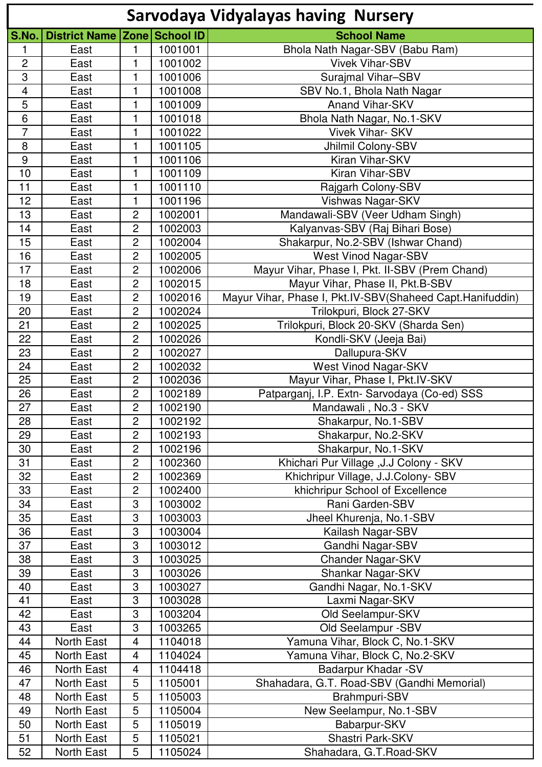|                |                              |                           |         | <b>Sarvodaya Vidyalayas having Nursery</b>                |
|----------------|------------------------------|---------------------------|---------|-----------------------------------------------------------|
| S.No.          | District Name Zone School ID |                           |         | <b>School Name</b>                                        |
| 1              | East                         | 1                         | 1001001 | Bhola Nath Nagar-SBV (Babu Ram)                           |
| $\overline{2}$ | East                         | 1                         | 1001002 | <b>Vivek Vihar-SBV</b>                                    |
| 3              | East                         | 1                         | 1001006 | Surajmal Vihar-SBV                                        |
| $\overline{4}$ | East                         | 1                         | 1001008 | SBV No.1, Bhola Nath Nagar                                |
| 5              | East                         | 1                         | 1001009 | <b>Anand Vihar-SKV</b>                                    |
| 6              | East                         | 1                         | 1001018 | Bhola Nath Nagar, No.1-SKV                                |
| $\overline{7}$ | East                         | 1                         | 1001022 | <b>Vivek Vihar-SKV</b>                                    |
| 8              | East                         | 1                         | 1001105 | Jhilmil Colony-SBV                                        |
| $9$            | East                         | 1                         | 1001106 | Kiran Vihar-SKV                                           |
| 10             | East                         | 1                         | 1001109 | Kiran Vihar-SBV                                           |
| 11             | East                         | 1                         | 1001110 | Rajgarh Colony-SBV                                        |
| 12             | East                         | 1                         | 1001196 | Vishwas Nagar-SKV                                         |
| 13             | East                         | 2                         | 1002001 | Mandawali-SBV (Veer Udham Singh)                          |
| 14             | East                         | $\overline{c}$            | 1002003 | Kalyanvas-SBV (Raj Bihari Bose)                           |
| 15             | East                         | 2                         | 1002004 | Shakarpur, No.2-SBV (Ishwar Chand)                        |
| 16             | East                         | 2                         | 1002005 | <b>West Vinod Nagar-SBV</b>                               |
| 17             | East                         | $\overline{c}$            | 1002006 | Mayur Vihar, Phase I, Pkt. II-SBV (Prem Chand)            |
| 18             | East                         | $\overline{c}$            | 1002015 | Mayur Vihar, Phase II, Pkt.B-SBV                          |
| 19             | East                         | $\overline{c}$            | 1002016 | Mayur Vihar, Phase I, Pkt.IV-SBV(Shaheed Capt.Hanifuddin) |
| 20             | East                         | $\overline{c}$            | 1002024 | Trilokpuri, Block 27-SKV                                  |
| 21             | East                         | $\overline{c}$            | 1002025 | Trilokpuri, Block 20-SKV (Sharda Sen)                     |
| 22             | East                         | $\overline{c}$            | 1002026 | Kondli-SKV (Jeeja Bai)                                    |
| 23             | East                         | 2                         | 1002027 | Dallupura-SKV                                             |
| 24             | East                         | $\overline{c}$            | 1002032 | <b>West Vinod Nagar-SKV</b>                               |
| 25             | East                         | $\overline{c}$            | 1002036 | Mayur Vihar, Phase I, Pkt.IV-SKV                          |
| 26             | East                         | $\overline{c}$            | 1002189 | Patparganj, I.P. Extn- Sarvodaya (Co-ed) SSS              |
| 27             | East                         | $\overline{2}$            | 1002190 | Mandawali, No.3 - SKV                                     |
| 28             | East                         | $\overline{2}$            | 1002192 | Shakarpur, No.1-SBV                                       |
| 29             | East                         | $\overline{2}$            | 1002193 | Shakarpur, No.2-SKV                                       |
| 30             | East                         | $\overline{c}$            | 1002196 | Shakarpur, No.1-SKV                                       |
| 31             | East                         | $\overline{2}$            | 1002360 | Khichari Pur Village , J.J Colony - SKV                   |
| 32             | East                         | $\overline{c}$            | 1002369 | Khichripur Village, J.J.Colony- SBV                       |
| 33             | East                         | 2                         | 1002400 | khichripur School of Excellence                           |
| 34             | East                         | $\ensuremath{\mathsf{3}}$ | 1003002 | Rani Garden-SBV                                           |
| 35             | East                         | 3                         | 1003003 | Jheel Khurenja, No.1-SBV                                  |
| 36             | East                         | 3                         | 1003004 | Kailash Nagar-SBV                                         |
| 37             | East                         | 3                         | 1003012 | Gandhi Nagar-SBV                                          |
| 38             | East                         | $\ensuremath{\mathsf{3}}$ | 1003025 | Chander Nagar-SKV                                         |
| 39             | East                         | 3                         | 1003026 | Shankar Nagar-SKV                                         |
| 40             | East                         | 3                         | 1003027 | Gandhi Nagar, No.1-SKV                                    |
| 41             | East                         | 3                         | 1003028 | Laxmi Nagar-SKV                                           |
| 42             | East                         | $\ensuremath{\mathsf{3}}$ | 1003204 | Old Seelampur-SKV                                         |
| 43             | East                         | 3                         | 1003265 | Old Seelampur -SBV                                        |
| 44             | North East                   | 4                         | 1104018 | Yamuna Vihar, Block C, No.1-SKV                           |
| 45             | North East                   | $\overline{4}$            | 1104024 | Yamuna Vihar, Block C, No.2-SKV                           |
| 46             | North East                   | 4                         | 1104418 | Badarpur Khadar - SV                                      |
| 47             | North East                   | 5                         | 1105001 | Shahadara, G.T. Road-SBV (Gandhi Memorial)                |
| 48             | North East                   | 5                         | 1105003 | Brahmpuri-SBV                                             |
| 49             | North East                   | 5                         | 1105004 | New Seelampur, No.1-SBV                                   |
| 50             | North East                   | 5                         | 1105019 | Babarpur-SKV                                              |
| 51             | North East                   | 5                         | 1105021 | Shastri Park-SKV                                          |
| 52             | North East                   | 5                         | 1105024 | Shahadara, G.T.Road-SKV                                   |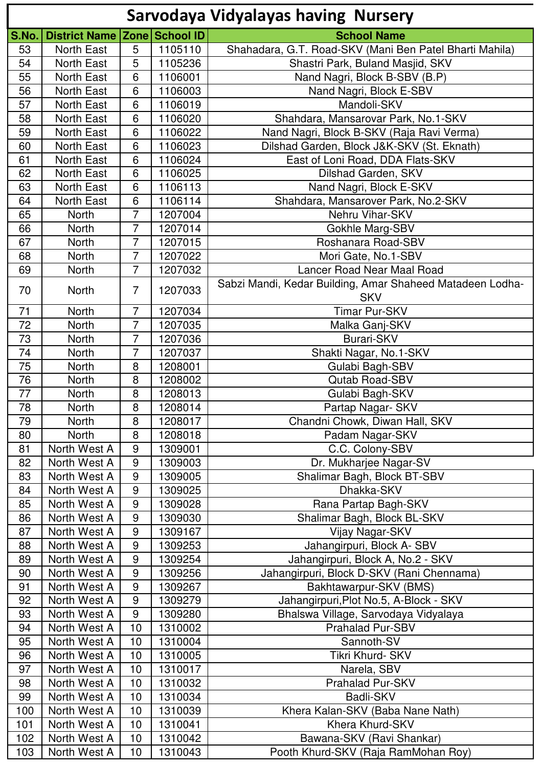|       |                      |                  |                | <b>Sarvodaya Vidyalayas having Nursery</b>                |
|-------|----------------------|------------------|----------------|-----------------------------------------------------------|
| S.No. | <b>District Name</b> |                  | Zone School ID | <b>School Name</b>                                        |
| 53    | North East           | 5                | 1105110        | Shahadara, G.T. Road-SKV (Mani Ben Patel Bharti Mahila)   |
| 54    | North East           | 5                | 1105236        | Shastri Park, Buland Masjid, SKV                          |
| 55    | North East           | 6                | 1106001        | Nand Nagri, Block B-SBV (B.P)                             |
| 56    | North East           | 6                | 1106003        | Nand Nagri, Block E-SBV                                   |
| 57    | North East           | 6                | 1106019        | Mandoli-SKV                                               |
| 58    | North East           | 6                | 1106020        | Shahdara, Mansarovar Park, No.1-SKV                       |
| 59    | North East           | 6                | 1106022        | Nand Nagri, Block B-SKV (Raja Ravi Verma)                 |
| 60    | North East           | 6                | 1106023        | Dilshad Garden, Block J&K-SKV (St. Eknath)                |
| 61    | North East           | 6                | 1106024        | East of Loni Road, DDA Flats-SKV                          |
| 62    | North East           | 6                | 1106025        | Dilshad Garden, SKV                                       |
| 63    | North East           | 6                | 1106113        | Nand Nagri, Block E-SKV                                   |
| 64    | <b>North East</b>    | 6                | 1106114        | Shahdara, Mansarover Park, No.2-SKV                       |
| 65    | <b>North</b>         | $\overline{7}$   | 1207004        | Nehru Vihar-SKV                                           |
| 66    | North                | 7                | 1207014        | Gokhle Marg-SBV                                           |
| 67    | North                | $\overline{7}$   | 1207015        | Roshanara Road-SBV                                        |
| 68    | <b>North</b>         | 7                | 1207022        | Mori Gate, No.1-SBV                                       |
| 69    | <b>North</b>         | $\overline{7}$   | 1207032        | Lancer Road Near Maal Road                                |
|       |                      |                  |                | Sabzi Mandi, Kedar Building, Amar Shaheed Matadeen Lodha- |
| 70    | North                | $\overline{7}$   | 1207033        | <b>SKV</b>                                                |
| 71    | <b>North</b>         | $\overline{7}$   | 1207034        | <b>Timar Pur-SKV</b>                                      |
| 72    | North                | $\overline{7}$   | 1207035        | Malka Ganj-SKV                                            |
| 73    | <b>North</b>         | 7                | 1207036        | <b>Burari-SKV</b>                                         |
| 74    | North                | $\overline{7}$   | 1207037        | Shakti Nagar, No.1-SKV                                    |
| 75    | <b>North</b>         | 8                | 1208001        | Gulabi Bagh-SBV                                           |
| 76    | North                | 8                | 1208002        | <b>Qutab Road-SBV</b>                                     |
| $77$  | North                | 8                | 1208013        | Gulabi Bagh-SKV                                           |
| 78    | North                | 8                | 1208014        | Partap Nagar- SKV                                         |
| 79    | North                | 8                | 1208017        | Chandni Chowk, Diwan Hall, SKV                            |
| 80    | <b>North</b>         | 8                | 1208018        | Padam Nagar-SKV                                           |
| 81    | North West A         | 9                | 1309001        | C.C. Colony-SBV                                           |
| 82    | North West A         | $\overline{9}$   | 1309003        | Dr. Mukharjee Nagar-SV                                    |
| 83    | North West A         | $\boldsymbol{9}$ | 1309005        | Shalimar Bagh, Block BT-SBV                               |
| 84    | North West A         | $\overline{9}$   | 1309025        | Dhakka-SKV                                                |
| 85    | North West A         | 9                | 1309028        | Rana Partap Bagh-SKV                                      |
| 86    | North West A         | 9                | 1309030        | Shalimar Bagh, Block BL-SKV                               |
| 87    | North West A         | 9                | 1309167        | Vijay Nagar-SKV                                           |
| 88    | North West A         | $\boldsymbol{9}$ | 1309253        | Jahangirpuri, Block A-SBV                                 |
| 89    | North West A         | 9                | 1309254        | Jahangirpuri, Block A, No.2 - SKV                         |
| 90    | North West A         | $\boldsymbol{9}$ | 1309256        | Jahangirpuri, Block D-SKV (Rani Chennama)                 |
| 91    | North West A         | 9                | 1309267        | Bakhtawarpur-SKV (BMS)                                    |
| 92    | North West A         | 9                | 1309279        | Jahangirpuri, Plot No.5, A-Block - SKV                    |
| 93    | North West A         | 9                | 1309280        | Bhalswa Village, Sarvodaya Vidyalaya                      |
| 94    | North West A         | 10               | 1310002        | <b>Prahalad Pur-SBV</b>                                   |
| 95    | North West A         | 10               | 1310004        | Sannoth-SV                                                |
| 96    | North West A         | 10               | 1310005        | Tikri Khurd- SKV                                          |
| 97    | North West A         | 10               | 1310017        | Narela, SBV                                               |
| 98    | North West A         | 10               | 1310032        | <b>Prahalad Pur-SKV</b>                                   |
| 99    | North West A         | 10               | 1310034        | <b>Badli-SKV</b>                                          |
| 100   | North West A         | 10               | 1310039        | Khera Kalan-SKV (Baba Nane Nath)                          |
| 101   | North West A         | 10               | 1310041        | Khera Khurd-SKV                                           |
| 102   | North West A         | 10               | 1310042        | Bawana-SKV (Ravi Shankar)                                 |
| 103   | North West A         | 10               | 1310043        | Pooth Khurd-SKV (Raja RamMohan Roy)                       |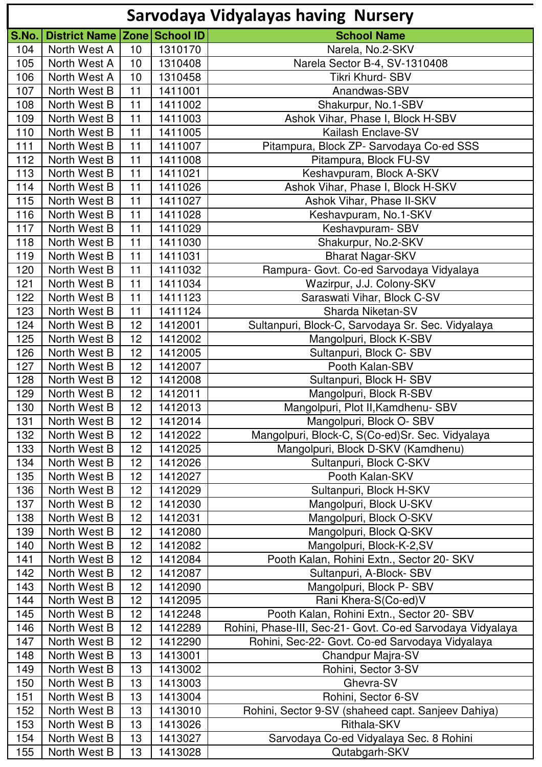|       |                              |                 |         | <b>Sarvodaya Vidyalayas having Nursery</b>                 |
|-------|------------------------------|-----------------|---------|------------------------------------------------------------|
| S.No. | District Name Zone School ID |                 |         | <b>School Name</b>                                         |
| 104   | North West A                 | 10              | 1310170 | Narela, No.2-SKV                                           |
| 105   | North West A                 | 10              | 1310408 | Narela Sector B-4, SV-1310408                              |
| 106   | North West A                 | 10              | 1310458 | Tikri Khurd-SBV                                            |
| 107   | North West B                 | 11              | 1411001 | Anandwas-SBV                                               |
| 108   | North West B                 | 11              | 1411002 | Shakurpur, No.1-SBV                                        |
| 109   | North West B                 | 11              | 1411003 | Ashok Vihar, Phase I, Block H-SBV                          |
| 110   | North West B                 | 11              | 1411005 | Kailash Enclave-SV                                         |
| 111   | North West B                 | 11              | 1411007 | Pitampura, Block ZP- Sarvodaya Co-ed SSS                   |
| 112   | North West B                 | 11              | 1411008 | Pitampura, Block FU-SV                                     |
| 113   | North West B                 | 11              | 1411021 | Keshavpuram, Block A-SKV                                   |
| 114   | North West B                 | 11              | 1411026 | Ashok Vihar, Phase I, Block H-SKV                          |
| 115   | North West B                 | 11              | 1411027 | Ashok Vihar, Phase II-SKV                                  |
| 116   | North West B                 | 11              | 1411028 | Keshavpuram, No.1-SKV                                      |
| 117   | North West B                 | 11              | 1411029 | Keshavpuram-SBV                                            |
| 118   | North West B                 | 11              | 1411030 | Shakurpur, No.2-SKV                                        |
| 119   | North West B                 | 11              | 1411031 | <b>Bharat Nagar-SKV</b>                                    |
| 120   | North West B                 | 11              | 1411032 | Rampura- Govt. Co-ed Sarvodaya Vidyalaya                   |
| 121   | North West B                 | 11              | 1411034 | Wazirpur, J.J. Colony-SKV                                  |
| 122   | North West B                 | 11              | 1411123 | Saraswati Vihar, Block C-SV                                |
| 123   | North West B                 | 11              | 1411124 | Sharda Niketan-SV                                          |
| 124   | North West B                 | 12              | 1412001 | Sultanpuri, Block-C, Sarvodaya Sr. Sec. Vidyalaya          |
| 125   | North West B                 | 12              | 1412002 | Mangolpuri, Block K-SBV                                    |
| 126   | North West B                 | 12              | 1412005 | Sultanpuri, Block C- SBV                                   |
| 127   | North West B                 | 12              | 1412007 | Pooth Kalan-SBV                                            |
| 128   | North West B                 | 12              | 1412008 | Sultanpuri, Block H-SBV                                    |
| 129   | North West B                 | 12              | 1412011 | Mangolpuri, Block R-SBV                                    |
| 130   | North West B                 | 12              | 1412013 | Mangolpuri, Plot II, Kamdhenu- SBV                         |
| 131   | North West B                 | 12 <sub>2</sub> | 1412014 | Mangolpuri, Block O-SBV                                    |
| 132   | North West B                 | 12              | 1412022 | Mangolpuri, Block-C, S(Co-ed)Sr. Sec. Vidyalaya            |
| 133   | North West B                 | 12              | 1412025 | Mangolpuri, Block D-SKV (Kamdhenu)                         |
| 134   | North West B                 | 12              | 1412026 | Sultanpuri, Block C-SKV                                    |
| 135   | North West B                 | 12              | 1412027 | Pooth Kalan-SKV                                            |
| 136   | North West B                 | 12              | 1412029 | Sultanpuri, Block H-SKV                                    |
| 137   | North West B                 | 12              | 1412030 | Mangolpuri, Block U-SKV                                    |
| 138   | North West B                 | 12              | 1412031 | Mangolpuri, Block O-SKV                                    |
| 139   | North West B                 | 12              | 1412080 | Mangolpuri, Block Q-SKV                                    |
| 140   | North West B                 | 12              | 1412082 | Mangolpuri, Block-K-2,SV                                   |
| 141   | North West B                 | 12              | 1412084 | Pooth Kalan, Rohini Extn., Sector 20- SKV                  |
| 142   | North West B                 | 12              | 1412087 | Sultanpuri, A-Block-SBV                                    |
| 143   | North West B                 | 12              | 1412090 | Mangolpuri, Block P- SBV                                   |
| 144   | North West B                 | 12              | 1412095 | Rani Khera-S(Co-ed)V                                       |
| 145   | North West B                 | 12              | 1412248 | Pooth Kalan, Rohini Extn., Sector 20- SBV                  |
| 146   | North West B                 | 12              | 1412289 | Rohini, Phase-III, Sec-21- Govt. Co-ed Sarvodaya Vidyalaya |
| 147   | North West B                 | 12              | 1412290 | Rohini, Sec-22- Govt. Co-ed Sarvodaya Vidyalaya            |
| 148   | North West B                 | 13              | 1413001 | Chandpur Majra-SV                                          |
| 149   | North West B                 | 13              | 1413002 | Rohini, Sector 3-SV                                        |
| 150   | North West B                 | 13              | 1413003 | Ghevra-SV                                                  |
| 151   | North West B                 | 13              | 1413004 | Rohini, Sector 6-SV                                        |
| 152   | North West B                 | 13              | 1413010 | Rohini, Sector 9-SV (shaheed capt. Sanjeev Dahiya)         |
| 153   | North West B                 | 13              | 1413026 | Rithala-SKV                                                |
| 154   | North West B                 | 13              | 1413027 | Sarvodaya Co-ed Vidyalaya Sec. 8 Rohini                    |
| 155   | North West B                 | 13              | 1413028 | Qutabgarh-SKV                                              |
|       |                              |                 |         |                                                            |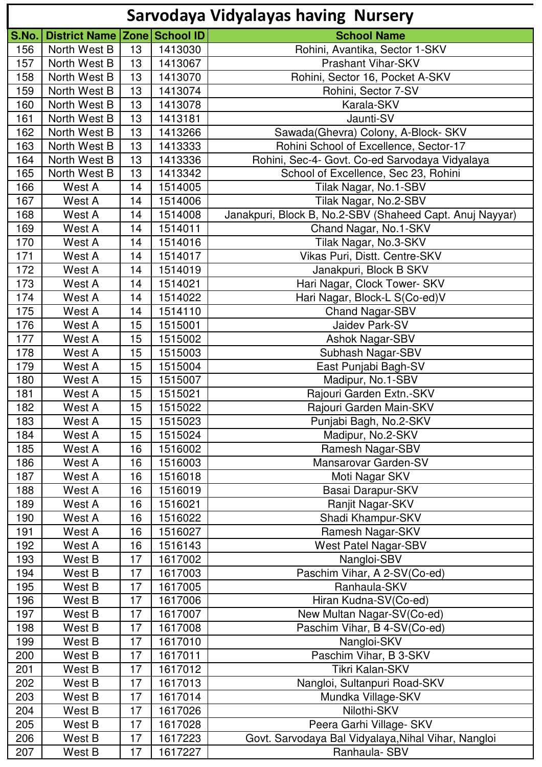|       |                                     |    |         | <b>Sarvodaya Vidyalayas having Nursery</b>               |
|-------|-------------------------------------|----|---------|----------------------------------------------------------|
| S.No. | <b>District Name Zone School ID</b> |    |         | <b>School Name</b>                                       |
| 156   | North West B                        | 13 | 1413030 | Rohini, Avantika, Sector 1-SKV                           |
| 157   | North West B                        | 13 | 1413067 | <b>Prashant Vihar-SKV</b>                                |
| 158   | North West B                        | 13 | 1413070 | Rohini, Sector 16, Pocket A-SKV                          |
| 159   | North West B                        | 13 | 1413074 | Rohini, Sector 7-SV                                      |
| 160   | North West B                        | 13 | 1413078 | Karala-SKV                                               |
| 161   | North West B                        | 13 | 1413181 | Jaunti-SV                                                |
| 162   | North West B                        | 13 | 1413266 | Sawada(Ghevra) Colony, A-Block- SKV                      |
| 163   | North West B                        | 13 | 1413333 | Rohini School of Excellence, Sector-17                   |
| 164   | North West B                        | 13 | 1413336 | Rohini, Sec-4- Govt. Co-ed Sarvodaya Vidyalaya           |
| 165   | North West B                        | 13 | 1413342 | School of Excellence, Sec 23, Rohini                     |
| 166   | West A                              | 14 | 1514005 | Tilak Nagar, No.1-SBV                                    |
| 167   | West A                              | 14 | 1514006 | Tilak Nagar, No.2-SBV                                    |
| 168   | West A                              | 14 | 1514008 | Janakpuri, Block B, No.2-SBV (Shaheed Capt. Anuj Nayyar) |
| 169   | West A                              | 14 | 1514011 | Chand Nagar, No.1-SKV                                    |
| 170   | West A                              | 14 | 1514016 | Tilak Nagar, No.3-SKV                                    |
| 171   | West A                              | 14 | 1514017 | Vikas Puri, Distt. Centre-SKV                            |
| 172   | West A                              | 14 | 1514019 | Janakpuri, Block B SKV                                   |
| 173   | West A                              | 14 | 1514021 | Hari Nagar, Clock Tower- SKV                             |
| 174   | West A                              | 14 | 1514022 | Hari Nagar, Block-L S(Co-ed)V                            |
| 175   | West A                              | 14 | 1514110 | <b>Chand Nagar-SBV</b>                                   |
| 176   | West A                              | 15 | 1515001 | Jaidev Park-SV                                           |
| 177   | West A                              | 15 | 1515002 | <b>Ashok Nagar-SBV</b>                                   |
| 178   | West A                              | 15 | 1515003 | Subhash Nagar-SBV                                        |
| 179   | West A                              | 15 | 1515004 | East Punjabi Bagh-SV                                     |
| 180   | West A                              | 15 | 1515007 | Madipur, No.1-SBV                                        |
| 181   | West A                              | 15 | 1515021 | Rajouri Garden Extn.-SKV                                 |
| 182   | West A                              | 15 | 1515022 | Rajouri Garden Main-SKV                                  |
| 183   | West A                              | 15 | 1515023 | Punjabi Bagh, No.2-SKV                                   |
| 184   | West A                              | 15 | 1515024 | Madipur, No.2-SKV                                        |
| 185   | West A                              | 16 | 1516002 | Ramesh Nagar-SBV                                         |
| 186   | West A                              | 16 | 1516003 | Mansarovar Garden-SV                                     |
| 187   | West A                              | 16 | 1516018 | Moti Nagar SKV                                           |
| 188   | West A                              | 16 | 1516019 | Basai Darapur-SKV                                        |
| 189   | West A                              | 16 | 1516021 | Ranjit Nagar-SKV                                         |
| 190   | West A                              | 16 | 1516022 | Shadi Khampur-SKV                                        |
| 191   | West A                              | 16 | 1516027 | Ramesh Nagar-SKV                                         |
| 192   | West A                              | 16 | 1516143 | <b>West Patel Nagar-SBV</b>                              |
| 193   | West B                              | 17 | 1617002 | Nangloi-SBV                                              |
| 194   | West B                              | 17 | 1617003 | Paschim Vihar, A 2-SV(Co-ed)                             |
| 195   | West B                              | 17 | 1617005 | Ranhaula-SKV                                             |
| 196   | West B                              | 17 | 1617006 | Hiran Kudna-SV(Co-ed)                                    |
| 197   | West B                              | 17 | 1617007 | New Multan Nagar-SV(Co-ed)                               |
| 198   | West B                              | 17 | 1617008 | Paschim Vihar, B 4-SV(Co-ed)                             |
| 199   | West B                              | 17 | 1617010 | Nangloi-SKV                                              |
| 200   | West B                              | 17 | 1617011 | Paschim Vihar, B 3-SKV                                   |
| 201   | West B                              | 17 | 1617012 | Tikri Kalan-SKV                                          |
| 202   | West B                              | 17 | 1617013 | Nangloi, Sultanpuri Road-SKV                             |
| 203   | West B                              | 17 | 1617014 | Mundka Village-SKV                                       |
| 204   | West B                              | 17 | 1617026 | Nilothi-SKV                                              |
| 205   | West B                              | 17 | 1617028 | Peera Garhi Village- SKV                                 |
| 206   | West B                              | 17 | 1617223 | Govt. Sarvodaya Bal Vidyalaya, Nihal Vihar, Nangloi      |
| 207   | West B                              | 17 | 1617227 | Ranhaula- SBV                                            |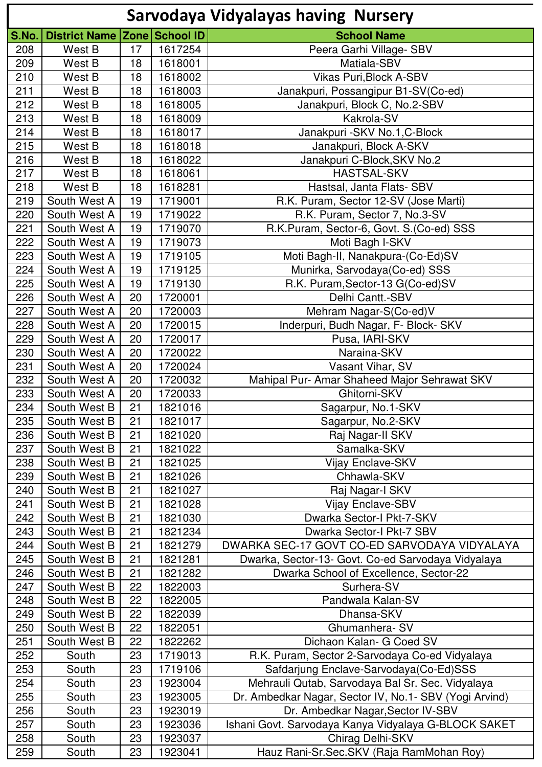|       |                                  |    |         | <b>Sarvodaya Vidyalayas having Nursery</b>             |
|-------|----------------------------------|----|---------|--------------------------------------------------------|
| S.No. | District Name   Zone   School ID |    |         | <b>School Name</b>                                     |
| 208   | West B                           | 17 | 1617254 | Peera Garhi Village- SBV                               |
| 209   | West B                           | 18 | 1618001 | Matiala-SBV                                            |
| 210   | West B                           | 18 | 1618002 | <b>Vikas Puri, Block A-SBV</b>                         |
| 211   | West B                           | 18 | 1618003 | Janakpuri, Possangipur B1-SV(Co-ed)                    |
| 212   | West B                           | 18 | 1618005 | Janakpuri, Block C, No.2-SBV                           |
| 213   | West B                           | 18 | 1618009 | Kakrola-SV                                             |
| 214   | West B                           | 18 | 1618017 | Janakpuri - SKV No.1, C-Block                          |
| 215   | West B                           | 18 | 1618018 | Janakpuri, Block A-SKV                                 |
| 216   | West B                           | 18 | 1618022 | Janakpuri C-Block, SKV No.2                            |
| 217   | West B                           | 18 | 1618061 | <b>HASTSAL-SKV</b>                                     |
| 218   | West B                           | 18 | 1618281 | Hastsal, Janta Flats- SBV                              |
| 219   | South West A                     | 19 | 1719001 | R.K. Puram, Sector 12-SV (Jose Marti)                  |
| 220   | South West A                     | 19 | 1719022 | R.K. Puram, Sector 7, No.3-SV                          |
| 221   | South West A                     | 19 | 1719070 | R.K.Puram, Sector-6, Govt. S. (Co-ed) SSS              |
| 222   | South West A                     | 19 | 1719073 | Moti Bagh I-SKV                                        |
| 223   | South West A                     | 19 | 1719105 | Moti Bagh-II, Nanakpura-(Co-Ed)SV                      |
| 224   | South West A                     | 19 | 1719125 | Munirka, Sarvodaya(Co-ed) SSS                          |
| 225   | South West A                     | 19 | 1719130 | R.K. Puram, Sector-13 G(Co-ed) SV                      |
| 226   | South West A                     | 20 | 1720001 | Delhi Cantt.-SBV                                       |
| 227   | South West A                     | 20 | 1720003 | Mehram Nagar-S(Co-ed)V                                 |
| 228   | South West A                     | 20 | 1720015 | Inderpuri, Budh Nagar, F- Block- SKV                   |
| 229   | South West A                     | 20 | 1720017 | Pusa, IARI-SKV                                         |
| 230   | South West A                     | 20 | 1720022 | Naraina-SKV                                            |
| 231   | South West A                     | 20 | 1720024 | Vasant Vihar, SV                                       |
| 232   | South West A                     | 20 | 1720032 | Mahipal Pur- Amar Shaheed Major Sehrawat SKV           |
| 233   | South West A                     | 20 | 1720033 | Ghitorni-SKV                                           |
| 234   | South West B                     | 21 | 1821016 | Sagarpur, No.1-SKV                                     |
| 235   | South West B                     | 21 | 1821017 |                                                        |
| 236   | South West B                     | 21 | 1821020 | Sagarpur, No.2-SKV<br>Raj Nagar-II SKV                 |
|       | South West B                     | 21 | 1821022 | Samalka-SKV                                            |
| 237   | South West B                     | 21 | 1821025 |                                                        |
| 238   |                                  |    |         | <b>Vijay Enclave-SKV</b>                               |
| 239   | South West B                     | 21 | 1821026 | Chhawla-SKV                                            |
| 240   | South West B                     | 21 | 1821027 | Raj Nagar-I SKV                                        |
| 241   | South West B                     | 21 | 1821028 | <b>Vijay Enclave-SBV</b>                               |
| 242   | South West B                     | 21 | 1821030 | Dwarka Sector-I Pkt-7-SKV                              |
| 243   | South West B                     | 21 | 1821234 | Dwarka Sector-I Pkt-7 SBV                              |
| 244   | South West B                     | 21 | 1821279 | DWARKA SEC-17 GOVT CO-ED SARVODAYA VIDYALAYA           |
| 245   | South West B                     | 21 | 1821281 | Dwarka, Sector-13- Govt. Co-ed Sarvodaya Vidyalaya     |
| 246   | South West B                     | 21 | 1821282 | Dwarka School of Excellence, Sector-22                 |
| 247   | South West B                     | 22 | 1822003 | Surhera-SV                                             |
| 248   | South West B                     | 22 | 1822005 | Pandwala Kalan-SV                                      |
| 249   | South West B                     | 22 | 1822039 | Dhansa-SKV                                             |
| 250   | South West B                     | 22 | 1822051 | Ghumanhera-SV                                          |
| 251   | South West B                     | 22 | 1822262 | Dichaon Kalan- G Coed SV                               |
| 252   | South                            | 23 | 1719013 | R.K. Puram, Sector 2-Sarvodaya Co-ed Vidyalaya         |
| 253   | South                            | 23 | 1719106 | Safdarjung Enclave-Sarvodaya(Co-Ed)SSS                 |
| 254   | South                            | 23 | 1923004 | Mehrauli Qutab, Sarvodaya Bal Sr. Sec. Vidyalaya       |
| 255   | South                            | 23 | 1923005 | Dr. Ambedkar Nagar, Sector IV, No.1- SBV (Yogi Arvind) |
| 256   | South                            | 23 | 1923019 | Dr. Ambedkar Nagar, Sector IV-SBV                      |
| 257   | South                            | 23 | 1923036 | Ishani Govt. Sarvodaya Kanya Vidyalaya G-BLOCK SAKET   |
| 258   | South                            | 23 | 1923037 | Chirag Delhi-SKV                                       |
| 259   | South                            | 23 | 1923041 | Hauz Rani-Sr.Sec.SKV (Raja RamMohan Roy)               |